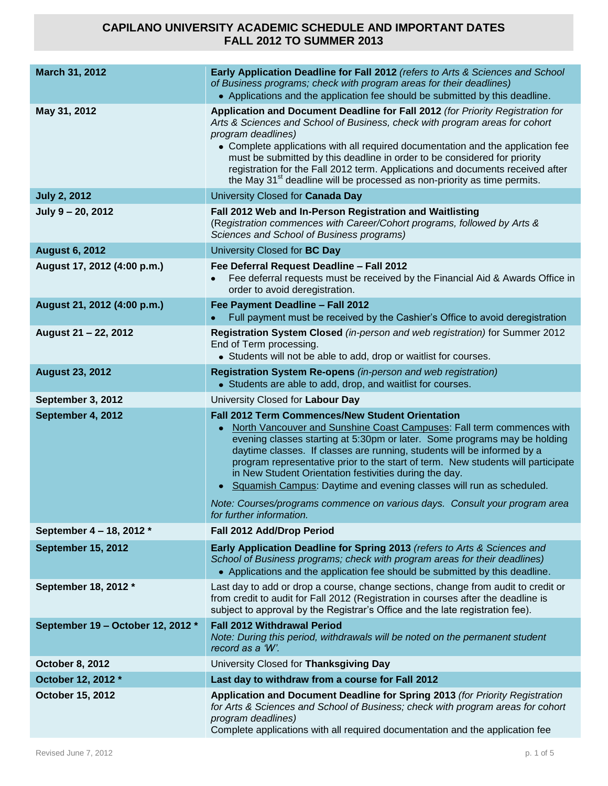| March 31, 2012                    | Early Application Deadline for Fall 2012 (refers to Arts & Sciences and School<br>of Business programs; check with program areas for their deadlines)<br>• Applications and the application fee should be submitted by this deadline.                                                                                                                                                                                                                                                                                         |
|-----------------------------------|-------------------------------------------------------------------------------------------------------------------------------------------------------------------------------------------------------------------------------------------------------------------------------------------------------------------------------------------------------------------------------------------------------------------------------------------------------------------------------------------------------------------------------|
| May 31, 2012                      | Application and Document Deadline for Fall 2012 (for Priority Registration for<br>Arts & Sciences and School of Business, check with program areas for cohort<br>program deadlines)<br>• Complete applications with all required documentation and the application fee<br>must be submitted by this deadline in order to be considered for priority<br>registration for the Fall 2012 term. Applications and documents received after<br>the May 31 <sup>st</sup> deadline will be processed as non-priority as time permits. |
| <b>July 2, 2012</b>               | University Closed for Canada Day                                                                                                                                                                                                                                                                                                                                                                                                                                                                                              |
| July 9 - 20, 2012                 | Fall 2012 Web and In-Person Registration and Waitlisting<br>(Registration commences with Career/Cohort programs, followed by Arts &<br>Sciences and School of Business programs)                                                                                                                                                                                                                                                                                                                                              |
| <b>August 6, 2012</b>             | University Closed for BC Day                                                                                                                                                                                                                                                                                                                                                                                                                                                                                                  |
| August 17, 2012 (4:00 p.m.)       | Fee Deferral Request Deadline - Fall 2012<br>Fee deferral requests must be received by the Financial Aid & Awards Office in<br>order to avoid deregistration.                                                                                                                                                                                                                                                                                                                                                                 |
| August 21, 2012 (4:00 p.m.)       | Fee Payment Deadline - Fall 2012<br>Full payment must be received by the Cashier's Office to avoid deregistration                                                                                                                                                                                                                                                                                                                                                                                                             |
| August 21 - 22, 2012              | Registration System Closed (in-person and web registration) for Summer 2012<br>End of Term processing.<br>• Students will not be able to add, drop or waitlist for courses.                                                                                                                                                                                                                                                                                                                                                   |
| <b>August 23, 2012</b>            | Registration System Re-opens (in-person and web registration)<br>• Students are able to add, drop, and waitlist for courses.                                                                                                                                                                                                                                                                                                                                                                                                  |
| September 3, 2012                 | University Closed for Labour Day                                                                                                                                                                                                                                                                                                                                                                                                                                                                                              |
| September 4, 2012                 | <b>Fall 2012 Term Commences/New Student Orientation</b><br>North Vancouver and Sunshine Coast Campuses: Fall term commences with<br>evening classes starting at 5:30pm or later. Some programs may be holding<br>daytime classes. If classes are running, students will be informed by a<br>program representative prior to the start of term. New students will participate<br>in New Student Orientation festivities during the day.<br>• Squamish Campus: Daytime and evening classes will run as scheduled.               |
|                                   | Note: Courses/programs commence on various days. Consult your program area<br>for further information.                                                                                                                                                                                                                                                                                                                                                                                                                        |
| September 4 - 18, 2012 *          | Fall 2012 Add/Drop Period                                                                                                                                                                                                                                                                                                                                                                                                                                                                                                     |
| <b>September 15, 2012</b>         | Early Application Deadline for Spring 2013 (refers to Arts & Sciences and<br>School of Business programs; check with program areas for their deadlines)<br>• Applications and the application fee should be submitted by this deadline.                                                                                                                                                                                                                                                                                       |
| September 18, 2012 *              | Last day to add or drop a course, change sections, change from audit to credit or<br>from credit to audit for Fall 2012 (Registration in courses after the deadline is<br>subject to approval by the Registrar's Office and the late registration fee).                                                                                                                                                                                                                                                                       |
| September 19 - October 12, 2012 * | <b>Fall 2012 Withdrawal Period</b><br>Note: During this period, withdrawals will be noted on the permanent student<br>record as a 'W'.                                                                                                                                                                                                                                                                                                                                                                                        |
| <b>October 8, 2012</b>            | University Closed for Thanksgiving Day                                                                                                                                                                                                                                                                                                                                                                                                                                                                                        |
| October 12, 2012 *                | Last day to withdraw from a course for Fall 2012                                                                                                                                                                                                                                                                                                                                                                                                                                                                              |
| October 15, 2012                  | Application and Document Deadline for Spring 2013 (for Priority Registration<br>for Arts & Sciences and School of Business; check with program areas for cohort<br>program deadlines)<br>Complete applications with all required documentation and the application fee                                                                                                                                                                                                                                                        |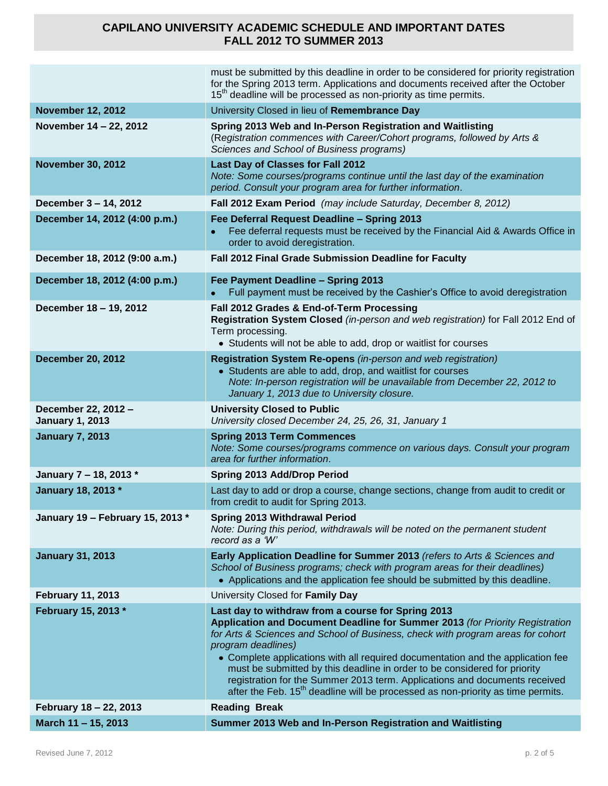|                                               | must be submitted by this deadline in order to be considered for priority registration<br>for the Spring 2013 term. Applications and documents received after the October<br>15 <sup>th</sup> deadline will be processed as non-priority as time permits.                                                                                                                                                                                                                                                                                                                      |
|-----------------------------------------------|--------------------------------------------------------------------------------------------------------------------------------------------------------------------------------------------------------------------------------------------------------------------------------------------------------------------------------------------------------------------------------------------------------------------------------------------------------------------------------------------------------------------------------------------------------------------------------|
| <b>November 12, 2012</b>                      | University Closed in lieu of Remembrance Day                                                                                                                                                                                                                                                                                                                                                                                                                                                                                                                                   |
| November 14 - 22, 2012                        | Spring 2013 Web and In-Person Registration and Waitlisting<br>(Registration commences with Career/Cohort programs, followed by Arts &<br>Sciences and School of Business programs)                                                                                                                                                                                                                                                                                                                                                                                             |
| <b>November 30, 2012</b>                      | Last Day of Classes for Fall 2012<br>Note: Some courses/programs continue until the last day of the examination<br>period. Consult your program area for further information.                                                                                                                                                                                                                                                                                                                                                                                                  |
| December 3 - 14, 2012                         | Fall 2012 Exam Period (may include Saturday, December 8, 2012)                                                                                                                                                                                                                                                                                                                                                                                                                                                                                                                 |
| December 14, 2012 (4:00 p.m.)                 | Fee Deferral Request Deadline - Spring 2013<br>Fee deferral requests must be received by the Financial Aid & Awards Office in<br>order to avoid deregistration.                                                                                                                                                                                                                                                                                                                                                                                                                |
| December 18, 2012 (9:00 a.m.)                 | Fall 2012 Final Grade Submission Deadline for Faculty                                                                                                                                                                                                                                                                                                                                                                                                                                                                                                                          |
| December 18, 2012 (4:00 p.m.)                 | Fee Payment Deadline - Spring 2013<br>Full payment must be received by the Cashier's Office to avoid deregistration                                                                                                                                                                                                                                                                                                                                                                                                                                                            |
| December 18 - 19, 2012                        | Fall 2012 Grades & End-of-Term Processing<br>Registration System Closed (in-person and web registration) for Fall 2012 End of<br>Term processing.<br>• Students will not be able to add, drop or waitlist for courses                                                                                                                                                                                                                                                                                                                                                          |
| <b>December 20, 2012</b>                      | Registration System Re-opens (in-person and web registration)<br>• Students are able to add, drop, and waitlist for courses<br>Note: In-person registration will be unavailable from December 22, 2012 to<br>January 1, 2013 due to University closure.                                                                                                                                                                                                                                                                                                                        |
| December 22, 2012 -<br><b>January 1, 2013</b> | <b>University Closed to Public</b><br>University closed December 24, 25, 26, 31, January 1                                                                                                                                                                                                                                                                                                                                                                                                                                                                                     |
| <b>January 7, 2013</b>                        | <b>Spring 2013 Term Commences</b><br>Note: Some courses/programs commence on various days. Consult your program<br>area for further information.                                                                                                                                                                                                                                                                                                                                                                                                                               |
| January 7 - 18, 2013 *                        | Spring 2013 Add/Drop Period                                                                                                                                                                                                                                                                                                                                                                                                                                                                                                                                                    |
| January 18, 2013 *                            | Last day to add or drop a course, change sections, change from audit to credit or<br>from credit to audit for Spring 2013.                                                                                                                                                                                                                                                                                                                                                                                                                                                     |
| January 19 - February 15, 2013 *              | <b>Spring 2013 Withdrawal Period</b><br>Note: During this period, withdrawals will be noted on the permanent student<br>record as a 'W'                                                                                                                                                                                                                                                                                                                                                                                                                                        |
| <b>January 31, 2013</b>                       | Early Application Deadline for Summer 2013 (refers to Arts & Sciences and<br>School of Business programs; check with program areas for their deadlines)<br>• Applications and the application fee should be submitted by this deadline.                                                                                                                                                                                                                                                                                                                                        |
| <b>February 11, 2013</b>                      | University Closed for Family Day                                                                                                                                                                                                                                                                                                                                                                                                                                                                                                                                               |
| February 15, 2013 *                           | Last day to withdraw from a course for Spring 2013<br>Application and Document Deadline for Summer 2013 (for Priority Registration<br>for Arts & Sciences and School of Business, check with program areas for cohort<br>program deadlines)<br>• Complete applications with all required documentation and the application fee<br>must be submitted by this deadline in order to be considered for priority<br>registration for the Summer 2013 term. Applications and documents received<br>after the Feb. $15th$ deadline will be processed as non-priority as time permits. |
| February 18 - 22, 2013                        | <b>Reading Break</b>                                                                                                                                                                                                                                                                                                                                                                                                                                                                                                                                                           |
| March 11 - 15, 2013                           | Summer 2013 Web and In-Person Registration and Waitlisting                                                                                                                                                                                                                                                                                                                                                                                                                                                                                                                     |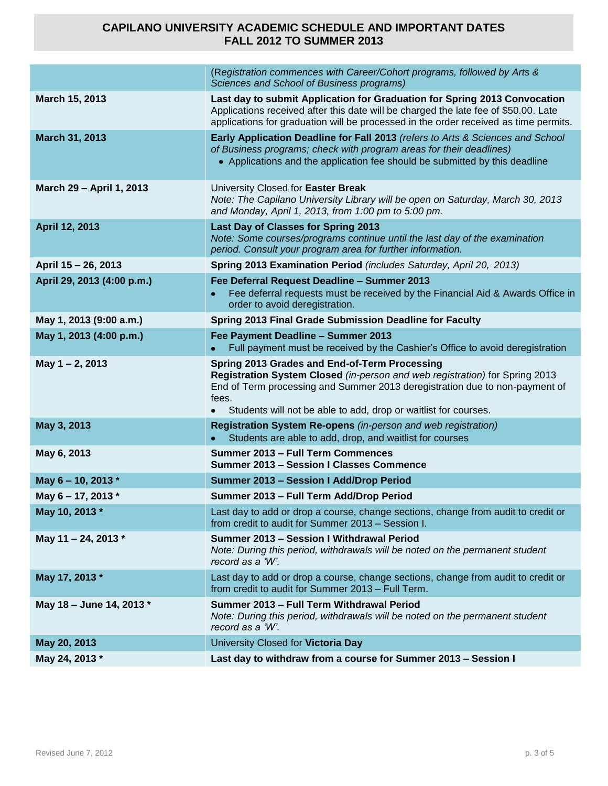|                            | (Registration commences with Career/Cohort programs, followed by Arts &<br>Sciences and School of Business programs)                                                                                                                                                                                 |
|----------------------------|------------------------------------------------------------------------------------------------------------------------------------------------------------------------------------------------------------------------------------------------------------------------------------------------------|
| March 15, 2013             | Last day to submit Application for Graduation for Spring 2013 Convocation<br>Applications received after this date will be charged the late fee of \$50.00. Late<br>applications for graduation will be processed in the order received as time permits.                                             |
| March 31, 2013             | Early Application Deadline for Fall 2013 (refers to Arts & Sciences and School<br>of Business programs; check with program areas for their deadlines)<br>• Applications and the application fee should be submitted by this deadline                                                                 |
| March 29 - April 1, 2013   | University Closed for Easter Break<br>Note: The Capilano University Library will be open on Saturday, March 30, 2013<br>and Monday, April 1, 2013, from 1:00 pm to 5:00 pm.                                                                                                                          |
| April 12, 2013             | Last Day of Classes for Spring 2013<br>Note: Some courses/programs continue until the last day of the examination<br>period. Consult your program area for further information.                                                                                                                      |
| April 15 - 26, 2013        | Spring 2013 Examination Period (includes Saturday, April 20, 2013)                                                                                                                                                                                                                                   |
| April 29, 2013 (4:00 p.m.) | Fee Deferral Request Deadline - Summer 2013<br>Fee deferral requests must be received by the Financial Aid & Awards Office in<br>order to avoid deregistration.                                                                                                                                      |
| May 1, 2013 (9:00 a.m.)    | Spring 2013 Final Grade Submission Deadline for Faculty                                                                                                                                                                                                                                              |
| May 1, 2013 (4:00 p.m.)    | Fee Payment Deadline - Summer 2013                                                                                                                                                                                                                                                                   |
|                            | Full payment must be received by the Cashier's Office to avoid deregistration                                                                                                                                                                                                                        |
| May 1-2, 2013              | Spring 2013 Grades and End-of-Term Processing<br>Registration System Closed (in-person and web registration) for Spring 2013<br>End of Term processing and Summer 2013 deregistration due to non-payment of<br>fees.<br>Students will not be able to add, drop or waitlist for courses.<br>$\bullet$ |
| May 3, 2013                | Registration System Re-opens (in-person and web registration)<br>Students are able to add, drop, and waitlist for courses                                                                                                                                                                            |
| May 6, 2013                | Summer 2013 - Full Term Commences<br><b>Summer 2013 - Session I Classes Commence</b>                                                                                                                                                                                                                 |
| May 6 - 10, 2013 *         | Summer 2013 - Session I Add/Drop Period                                                                                                                                                                                                                                                              |
| May 6 - 17, 2013 *         | Summer 2013 - Full Term Add/Drop Period                                                                                                                                                                                                                                                              |
| May 10, 2013 *             | Last day to add or drop a course, change sections, change from audit to credit or<br>from credit to audit for Summer 2013 - Session I.                                                                                                                                                               |
| May 11 - 24, 2013 *        | Summer 2013 - Session I Withdrawal Period<br>Note: During this period, withdrawals will be noted on the permanent student<br>record as a 'W'.                                                                                                                                                        |
| May 17, 2013 *             | Last day to add or drop a course, change sections, change from audit to credit or<br>from credit to audit for Summer 2013 - Full Term.                                                                                                                                                               |
| May 18 - June 14, 2013 *   | Summer 2013 - Full Term Withdrawal Period<br>Note: During this period, withdrawals will be noted on the permanent student<br>record as a 'W'.                                                                                                                                                        |
| May 20, 2013               | University Closed for Victoria Day                                                                                                                                                                                                                                                                   |
| May 24, 2013 *             | Last day to withdraw from a course for Summer 2013 - Session I                                                                                                                                                                                                                                       |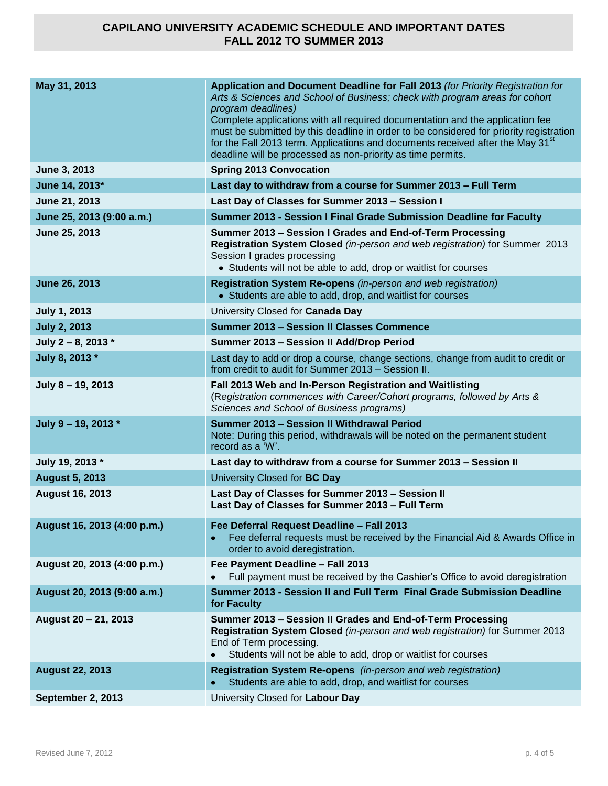| May 31, 2013                | Application and Document Deadline for Fall 2013 (for Priority Registration for<br>Arts & Sciences and School of Business; check with program areas for cohort<br>program deadlines)<br>Complete applications with all required documentation and the application fee<br>must be submitted by this deadline in order to be considered for priority registration<br>for the Fall 2013 term. Applications and documents received after the May 31 <sup>st</sup><br>deadline will be processed as non-priority as time permits. |
|-----------------------------|-----------------------------------------------------------------------------------------------------------------------------------------------------------------------------------------------------------------------------------------------------------------------------------------------------------------------------------------------------------------------------------------------------------------------------------------------------------------------------------------------------------------------------|
| June 3, 2013                | <b>Spring 2013 Convocation</b>                                                                                                                                                                                                                                                                                                                                                                                                                                                                                              |
| June 14, 2013*              | Last day to withdraw from a course for Summer 2013 - Full Term                                                                                                                                                                                                                                                                                                                                                                                                                                                              |
| June 21, 2013               | Last Day of Classes for Summer 2013 - Session I                                                                                                                                                                                                                                                                                                                                                                                                                                                                             |
| June 25, 2013 (9:00 a.m.)   | Summer 2013 - Session I Final Grade Submission Deadline for Faculty                                                                                                                                                                                                                                                                                                                                                                                                                                                         |
| June 25, 2013               | Summer 2013 - Session I Grades and End-of-Term Processing<br>Registration System Closed (in-person and web registration) for Summer 2013<br>Session I grades processing<br>• Students will not be able to add, drop or waitlist for courses                                                                                                                                                                                                                                                                                 |
| <b>June 26, 2013</b>        | Registration System Re-opens (in-person and web registration)<br>• Students are able to add, drop, and waitlist for courses                                                                                                                                                                                                                                                                                                                                                                                                 |
| <b>July 1, 2013</b>         | University Closed for Canada Day                                                                                                                                                                                                                                                                                                                                                                                                                                                                                            |
| <b>July 2, 2013</b>         | <b>Summer 2013 - Session II Classes Commence</b>                                                                                                                                                                                                                                                                                                                                                                                                                                                                            |
| July 2 - 8, 2013 $*$        | Summer 2013 - Session II Add/Drop Period                                                                                                                                                                                                                                                                                                                                                                                                                                                                                    |
| July 8, 2013 *              | Last day to add or drop a course, change sections, change from audit to credit or<br>from credit to audit for Summer 2013 - Session II.                                                                                                                                                                                                                                                                                                                                                                                     |
| July 8 - 19, 2013           | Fall 2013 Web and In-Person Registration and Waitlisting<br>(Registration commences with Career/Cohort programs, followed by Arts &<br>Sciences and School of Business programs)                                                                                                                                                                                                                                                                                                                                            |
| July 9 - 19, 2013 $*$       | Summer 2013 - Session II Withdrawal Period<br>Note: During this period, withdrawals will be noted on the permanent student<br>record as a 'W'.                                                                                                                                                                                                                                                                                                                                                                              |
| July 19, 2013 *             | Last day to withdraw from a course for Summer 2013 - Session II                                                                                                                                                                                                                                                                                                                                                                                                                                                             |
| <b>August 5, 2013</b>       | University Closed for BC Day                                                                                                                                                                                                                                                                                                                                                                                                                                                                                                |
| <b>August 16, 2013</b>      | Last Day of Classes for Summer 2013 - Session II<br>Last Day of Classes for Summer 2013 - Full Term                                                                                                                                                                                                                                                                                                                                                                                                                         |
| August 16, 2013 (4:00 p.m.) | Fee Deferral Request Deadline - Fall 2013<br>Fee deferral requests must be received by the Financial Aid & Awards Office in<br>$\bullet$<br>order to avoid deregistration.                                                                                                                                                                                                                                                                                                                                                  |
| August 20, 2013 (4:00 p.m.) | Fee Payment Deadline - Fall 2013<br>Full payment must be received by the Cashier's Office to avoid deregistration                                                                                                                                                                                                                                                                                                                                                                                                           |
| August 20, 2013 (9:00 a.m.) | Summer 2013 - Session II and Full Term Final Grade Submission Deadline<br>for Faculty                                                                                                                                                                                                                                                                                                                                                                                                                                       |
| August 20 - 21, 2013        | Summer 2013 - Session II Grades and End-of-Term Processing<br>Registration System Closed (in-person and web registration) for Summer 2013<br>End of Term processing.<br>Students will not be able to add, drop or waitlist for courses                                                                                                                                                                                                                                                                                      |
| <b>August 22, 2013</b>      | Registration System Re-opens (in-person and web registration)<br>Students are able to add, drop, and waitlist for courses                                                                                                                                                                                                                                                                                                                                                                                                   |
| September 2, 2013           | University Closed for Labour Day                                                                                                                                                                                                                                                                                                                                                                                                                                                                                            |